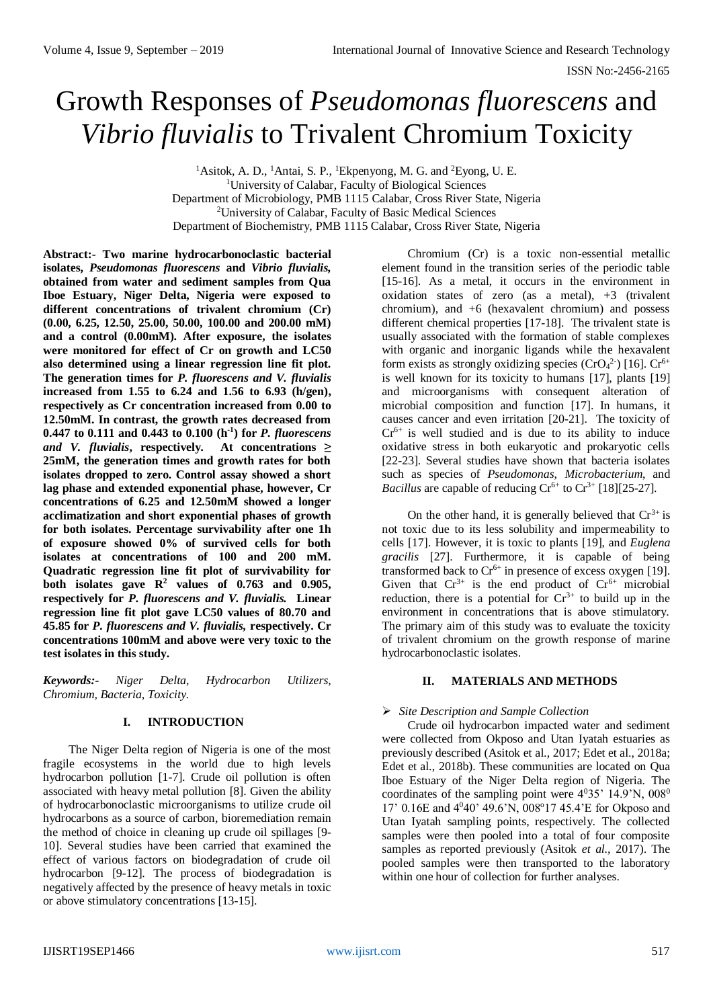# Growth Responses of *Pseudomonas fluorescens* and *Vibrio fluvialis* to Trivalent Chromium Toxicity

<sup>1</sup>Asitok, A. D., <sup>1</sup>Antai, S. P., <sup>1</sup>Ekpenyong, M. G. and <sup>2</sup>Eyong, U. E. <sup>1</sup>University of Calabar, Faculty of Biological Sciences Department of Microbiology, PMB 1115 Calabar, Cross River State, Nigeria <sup>2</sup>University of Calabar, Faculty of Basic Medical Sciences Department of Biochemistry, PMB 1115 Calabar, Cross River State, Nigeria

**Abstract:- Two marine hydrocarbonoclastic bacterial isolates,** *Pseudomonas fluorescens* **and** *Vibrio fluvialis,*  **obtained from water and sediment samples from Qua Iboe Estuary, Niger Delta, Nigeria were exposed to different concentrations of trivalent chromium (Cr) (0.00, 6.25, 12.50, 25.00, 50.00, 100.00 and 200.00 mM) and a control (0.00mM). After exposure, the isolates were monitored for effect of Cr on growth and LC50 also determined using a linear regression line fit plot. The generation times for** *P. fluorescens and V. fluvialis*  **increased from 1.55 to 6.24 and 1.56 to 6.93 (h/gen), respectively as Cr concentration increased from 0.00 to 12.50mM. In contrast, the growth rates decreased from 0.447 to 0.111 and 0.443 to 0.100 (h-1 ) for** *P. fluorescens and V. fluvialis***, respectively***.* **At concentrations ≥ 25mM, the generation times and growth rates for both isolates dropped to zero. Control assay showed a short lag phase and extended exponential phase, however, Cr concentrations of 6.25 and 12.50mM showed a longer acclimatization and short exponential phases of growth for both isolates. Percentage survivability after one 1h of exposure showed 0% of survived cells for both isolates at concentrations of 100 and 200 mM. Quadratic regression line fit plot of survivability for**  both isolates gave  $\mathbb{R}^2$  values of 0.763 and 0.905, **respectively for** *P. fluorescens and V. fluvialis.* **Linear regression line fit plot gave LC50 values of 80.70 and 45.85 for** *P. fluorescens and V. fluvialis,* **respectively. Cr concentrations 100mM and above were very toxic to the test isolates in this study.** 

*Keywords:- Niger Delta, Hydrocarbon Utilizers, Chromium, Bacteria, Toxicity.*

# **I. INTRODUCTION**

The Niger Delta region of Nigeria is one of the most fragile ecosystems in the world due to high levels hydrocarbon pollution [1-7]. Crude oil pollution is often associated with heavy metal pollution [8]. Given the ability of hydrocarbonoclastic microorganisms to utilize crude oil hydrocarbons as a source of carbon, bioremediation remain the method of choice in cleaning up crude oil spillages [9- 10]. Several studies have been carried that examined the effect of various factors on biodegradation of crude oil hydrocarbon [9-12]. The process of biodegradation is negatively affected by the presence of heavy metals in toxic or above stimulatory concentrations [13-15].

Chromium (Cr) is a toxic non-essential metallic element found in the transition series of the periodic table [15-16]. As a metal, it occurs in the environment in oxidation states of zero (as a metal), +3 (trivalent chromium), and +6 (hexavalent chromium) and possess different chemical properties [17-18]. The trivalent state is usually associated with the formation of stable complexes with organic and inorganic ligands while the hexavalent form exists as strongly oxidizing species  $(CrO<sub>4</sub><sup>2</sup>)$  [16].  $Cr<sup>6+</sup>$ is well known for its toxicity to humans [17], plants [19] and microorganisms with consequent alteration of microbial composition and function [17]. In humans, it causes cancer and even irritation [20-21]. The toxicity of  $Cr<sup>6+</sup>$  is well studied and is due to its ability to induce oxidative stress in both eukaryotic and prokaryotic cells [22-23]. Several studies have shown that bacteria isolates such as species of *Pseudomonas*, *Microbacterium*, and *Bacillus* are capable of reducing  $Cr^{6+}$  to  $Cr^{3+}$  [18][25-27].

On the other hand, it is generally believed that  $Cr^{3+}$  is not toxic due to its less solubility and impermeability to cells [17]. However, it is toxic to plants [19], and *Euglena gracilis* [27]. Furthermore, it is capable of being transformed back to  $Cr^{6+}$  in presence of excess oxygen [19]. Given that  $Cr^{3+}$  is the end product of  $Cr^{6+}$  microbial reduction, there is a potential for  $Cr^{3+}$  to build up in the environment in concentrations that is above stimulatory. The primary aim of this study was to evaluate the toxicity of trivalent chromium on the growth response of marine hydrocarbonoclastic isolates.

# **II. MATERIALS AND METHODS**

# *Site Description and Sample Collection*

Crude oil hydrocarbon impacted water and sediment were collected from Okposo and Utan Iyatah estuaries as previously described (Asitok et al., 2017; Edet et al., 2018a; Edet et al., 2018b). These communities are located on Qua Iboe Estuary of the Niger Delta region of Nigeria. The coordinates of the sampling point were  $4^035'$  14.9'N,  $008^0$ 17' 0.16E and 4<sup>0</sup>40' 49.6'N, 008<sup>o</sup>17 45.4'E for Okposo and Utan Iyatah sampling points, respectively. The collected samples were then pooled into a total of four composite samples as reported previously (Asitok *et al.,* 2017). The pooled samples were then transported to the laboratory within one hour of collection for further analyses.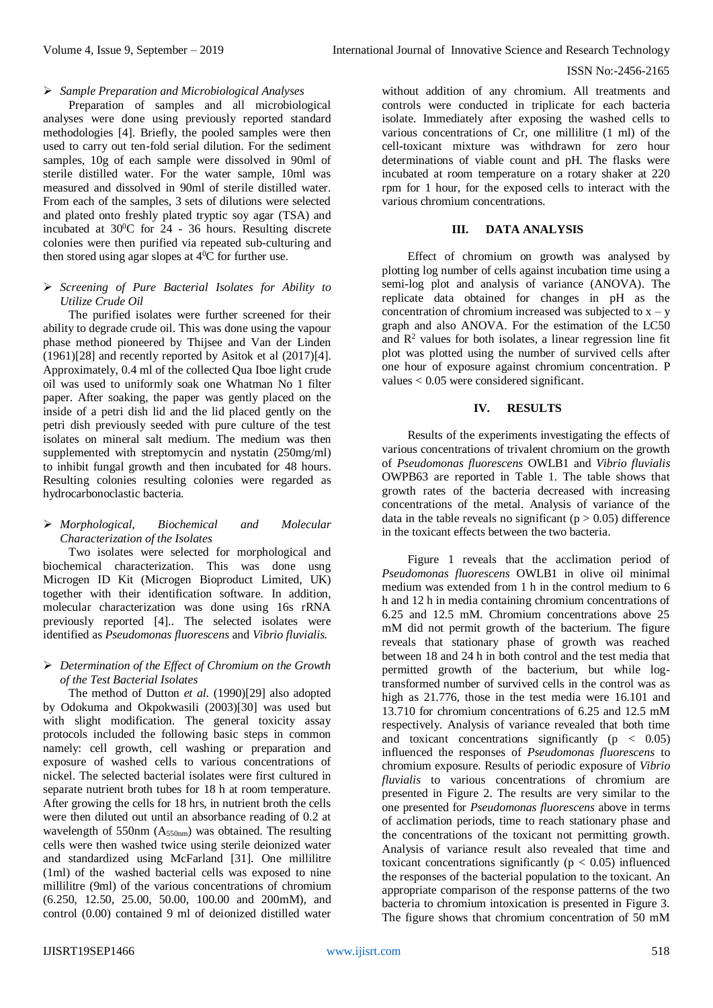### *Sample Preparation and Microbiological Analyses*

Preparation of samples and all microbiological analyses were done using previously reported standard methodologies [4]. Briefly, the pooled samples were then used to carry out ten-fold serial dilution. For the sediment samples, 10g of each sample were dissolved in 90ml of sterile distilled water. For the water sample, 10ml was measured and dissolved in 90ml of sterile distilled water. From each of the samples, 3 sets of dilutions were selected and plated onto freshly plated tryptic soy agar (TSA) and incubated at 30<sup>0</sup>C for 24 - 36 hours. Resulting discrete colonies were then purified via repeated sub-culturing and then stored using agar slopes at  $4\overline{^0C}$  for further use.

### *Screening of Pure Bacterial Isolates for Ability to Utilize Crude Oil*

The purified isolates were further screened for their ability to degrade crude oil. This was done using the vapour phase method pioneered by Thijsee and Van der Linden (1961)[28] and recently reported by Asitok et al (2017)[4]. Approximately, 0.4 ml of the collected Qua Iboe light crude oil was used to uniformly soak one Whatman No 1 filter paper. After soaking, the paper was gently placed on the inside of a petri dish lid and the lid placed gently on the petri dish previously seeded with pure culture of the test isolates on mineral salt medium. The medium was then supplemented with streptomycin and nystatin (250mg/ml) to inhibit fungal growth and then incubated for 48 hours. Resulting colonies resulting colonies were regarded as hydrocarbonoclastic bacteria.

# *Morphological, Biochemical and Molecular Characterization of the Isolates*

Two isolates were selected for morphological and biochemical characterization. This was done usng Microgen ID Kit (Microgen Bioproduct Limited, UK) together with their identification software. In addition, molecular characterization was done using 16s rRNA previously reported [4].. The selected isolates were identified as *Pseudomonas fluorescens* and *Vibrio fluvialis.* 

#### *Determination of the Effect of Chromium on the Growth of the Test Bacterial Isolates*

The method of Dutton *et al*. (1990)[29] also adopted by Odokuma and Okpokwasili (2003)[30] was used but with slight modification. The general toxicity assay protocols included the following basic steps in common namely: cell growth, cell washing or preparation and exposure of washed cells to various concentrations of nickel. The selected bacterial isolates were first cultured in separate nutrient broth tubes for 18 h at room temperature. After growing the cells for 18 hrs, in nutrient broth the cells were then diluted out until an absorbance reading of 0.2 at wavelength of 550nm (A<sub>550nm</sub>) was obtained. The resulting cells were then washed twice using sterile deionized water and standardized using McFarland [31]. One millilitre (1ml) of the washed bacterial cells was exposed to nine millilitre (9ml) of the various concentrations of chromium (6.250, 12.50, 25.00, 50.00, 100.00 and 200mM), and control (0.00) contained 9 ml of deionized distilled water

without addition of any chromium. All treatments and controls were conducted in triplicate for each bacteria isolate. Immediately after exposing the washed cells to various concentrations of Cr, one millilitre (1 ml) of the cell-toxicant mixture was withdrawn for zero hour determinations of viable count and pH. The flasks were incubated at room temperature on a rotary shaker at 220 rpm for 1 hour, for the exposed cells to interact with the various chromium concentrations.

# **III. DATA ANALYSIS**

Effect of chromium on growth was analysed by plotting log number of cells against incubation time using a semi-log plot and analysis of variance (ANOVA). The replicate data obtained for changes in pH as the concentration of chromium increased was subjected to  $x - y$ graph and also ANOVA. For the estimation of the LC50 and  $\mathbb{R}^2$  values for both isolates, a linear regression line fit plot was plotted using the number of survived cells after one hour of exposure against chromium concentration. P values < 0.05 were considered significant.

# **IV. RESULTS**

Results of the experiments investigating the effects of various concentrations of trivalent chromium on the growth of *Pseudomonas fluorescens* OWLB1 and *Vibrio fluvialis* OWPB63 are reported in Table 1. The table shows that growth rates of the bacteria decreased with increasing concentrations of the metal. Analysis of variance of the data in the table reveals no significant ( $p > 0.05$ ) difference in the toxicant effects between the two bacteria.

Figure 1 reveals that the acclimation period of *Pseudomonas fluorescens* OWLB1 in olive oil minimal medium was extended from 1 h in the control medium to 6 h and 12 h in media containing chromium concentrations of 6.25 and 12.5 mM. Chromium concentrations above 25 mM did not permit growth of the bacterium. The figure reveals that stationary phase of growth was reached between 18 and 24 h in both control and the test media that permitted growth of the bacterium, but while logtransformed number of survived cells in the control was as high as 21.776, those in the test media were 16.101 and 13.710 for chromium concentrations of 6.25 and 12.5 mM respectively. Analysis of variance revealed that both time and toxicant concentrations significantly ( $p < 0.05$ ) influenced the responses of *Pseudomonas fluorescens* to chromium exposure. Results of periodic exposure of *Vibrio fluvialis* to various concentrations of chromium are presented in Figure 2. The results are very similar to the one presented for *Pseudomonas fluorescens* above in terms of acclimation periods, time to reach stationary phase and the concentrations of the toxicant not permitting growth. Analysis of variance result also revealed that time and toxicant concentrations significantly ( $p < 0.05$ ) influenced the responses of the bacterial population to the toxicant. An appropriate comparison of the response patterns of the two bacteria to chromium intoxication is presented in Figure 3. The figure shows that chromium concentration of 50 mM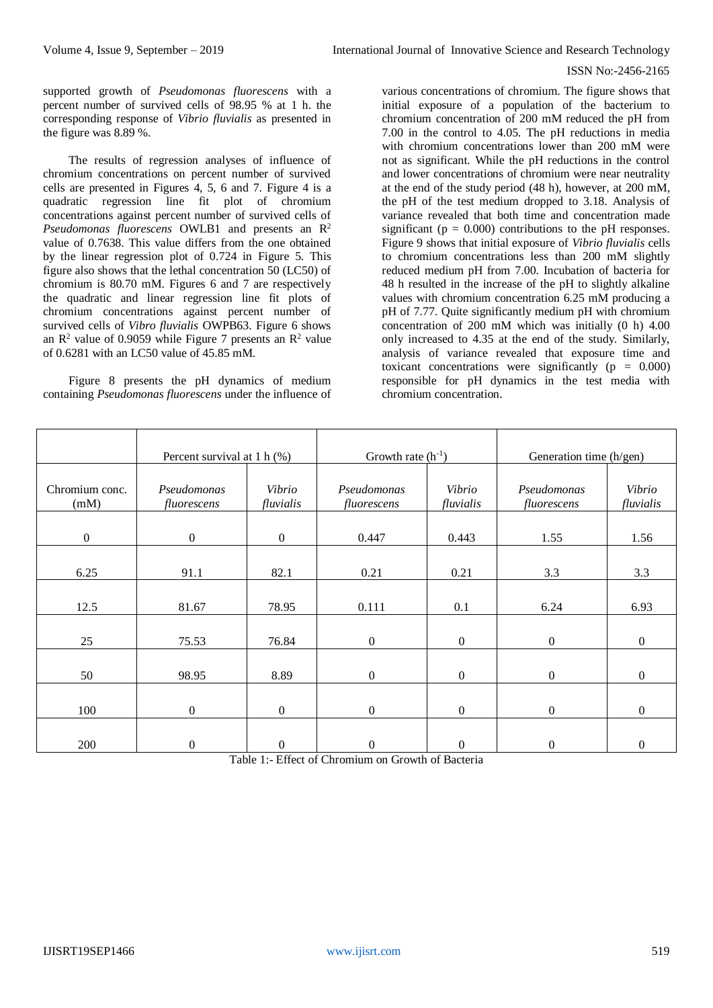supported growth of *Pseudomonas fluorescens* with a percent number of survived cells of 98.95 % at 1 h. the corresponding response of *Vibrio fluvialis* as presented in the figure was 8.89 %.

The results of regression analyses of influence of chromium concentrations on percent number of survived cells are presented in Figures 4, 5, 6 and 7. Figure 4 is a quadratic regression line fit plot of chromium concentrations against percent number of survived cells of *Pseudomonas fluorescens* OWLB1 and presents an R<sup>2</sup> value of 0.7638. This value differs from the one obtained by the linear regression plot of 0.724 in Figure 5. This figure also shows that the lethal concentration 50 (LC50) of chromium is 80.70 mM. Figures 6 and 7 are respectively the quadratic and linear regression line fit plots of chromium concentrations against percent number of survived cells of *Vibro fluvialis* OWPB63. Figure 6 shows an  $R^2$  value of 0.9059 while Figure 7 presents an  $R^2$  value of 0.6281 with an LC50 value of 45.85 mM.

Figure 8 presents the pH dynamics of medium containing *Pseudomonas fluorescens* under the influence of

various concentrations of chromium. The figure shows that initial exposure of a population of the bacterium to chromium concentration of 200 mM reduced the pH from 7.00 in the control to 4.05. The pH reductions in media with chromium concentrations lower than 200 mM were not as significant. While the pH reductions in the control and lower concentrations of chromium were near neutrality at the end of the study period (48 h), however, at 200 mM, the pH of the test medium dropped to 3.18. Analysis of variance revealed that both time and concentration made significant ( $p = 0.000$ ) contributions to the pH responses. Figure 9 shows that initial exposure of *Vibrio fluvialis* cells to chromium concentrations less than 200 mM slightly reduced medium pH from 7.00. Incubation of bacteria for 48 h resulted in the increase of the pH to slightly alkaline values with chromium concentration 6.25 mM producing a pH of 7.77. Quite significantly medium pH with chromium concentration of 200 mM which was initially (0 h) 4.00 only increased to 4.35 at the end of the study. Similarly, analysis of variance revealed that exposure time and toxicant concentrations were significantly ( $p = 0.000$ ) responsible for pH dynamics in the test media with chromium concentration.

|                        | Percent survival at 1 h $(\%)$ |                     | Growth rate $(h^{-1})$     |                     | Generation time (h/gen)    |                     |
|------------------------|--------------------------------|---------------------|----------------------------|---------------------|----------------------------|---------------------|
| Chromium conc.<br>(mM) | Pseudomonas<br>fluorescens     | Vibrio<br>fluvialis | Pseudomonas<br>fluorescens | Vibrio<br>fluvialis | Pseudomonas<br>fluorescens | Vibrio<br>fluvialis |
| $\mathbf{0}$           | $\boldsymbol{0}$               | $\boldsymbol{0}$    | 0.447                      | 0.443               | 1.55                       | 1.56                |
| 6.25                   | 91.1                           | 82.1                | 0.21                       | 0.21                | 3.3                        | 3.3                 |
| 12.5                   | 81.67                          | 78.95               | 0.111                      | 0.1                 | 6.24                       | 6.93                |
| 25                     | 75.53                          | 76.84               | $\overline{0}$             | $\overline{0}$      | $\boldsymbol{0}$           | $\boldsymbol{0}$    |
| 50                     | 98.95                          | 8.89                | $\overline{0}$             | $\overline{0}$      | $\boldsymbol{0}$           | $\mathbf{0}$        |
| 100                    | $\boldsymbol{0}$               | $\mathbf{0}$        | $\boldsymbol{0}$           | $\overline{0}$      | $\boldsymbol{0}$           | $\boldsymbol{0}$    |
| 200                    | $\boldsymbol{0}$               | $\boldsymbol{0}$    | 0                          | $\boldsymbol{0}$    | $\boldsymbol{0}$           | $\boldsymbol{0}$    |

Table 1:- Effect of Chromium on Growth of Bacteria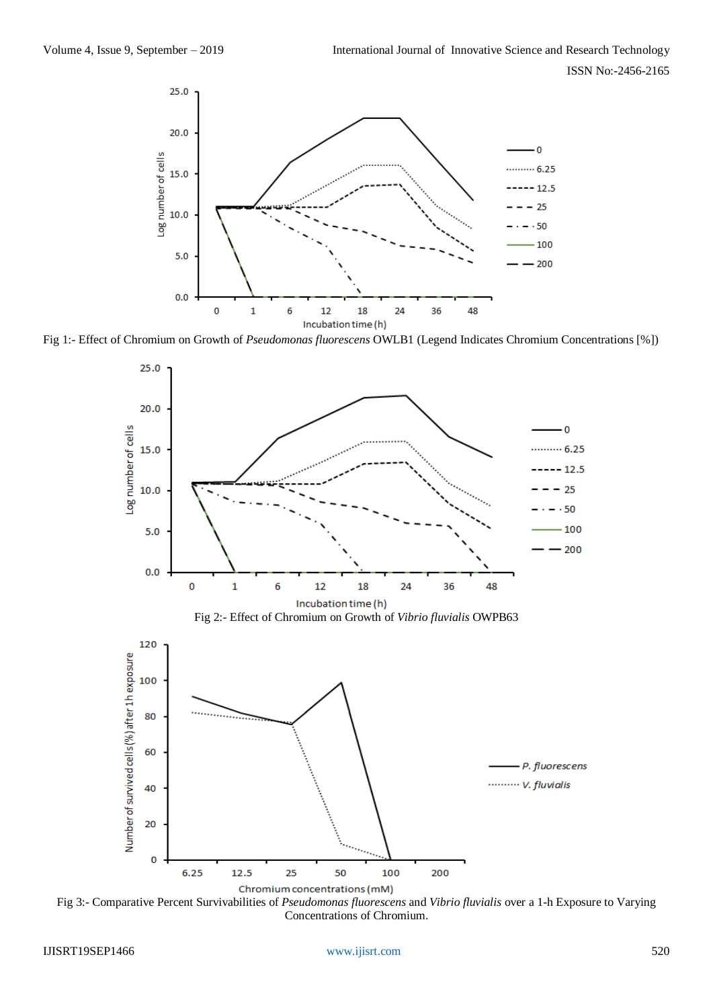

Fig 1:- Effect of Chromium on Growth of *Pseudomonas fluorescens* OWLB1 (Legend Indicates Chromium Concentrations [%])



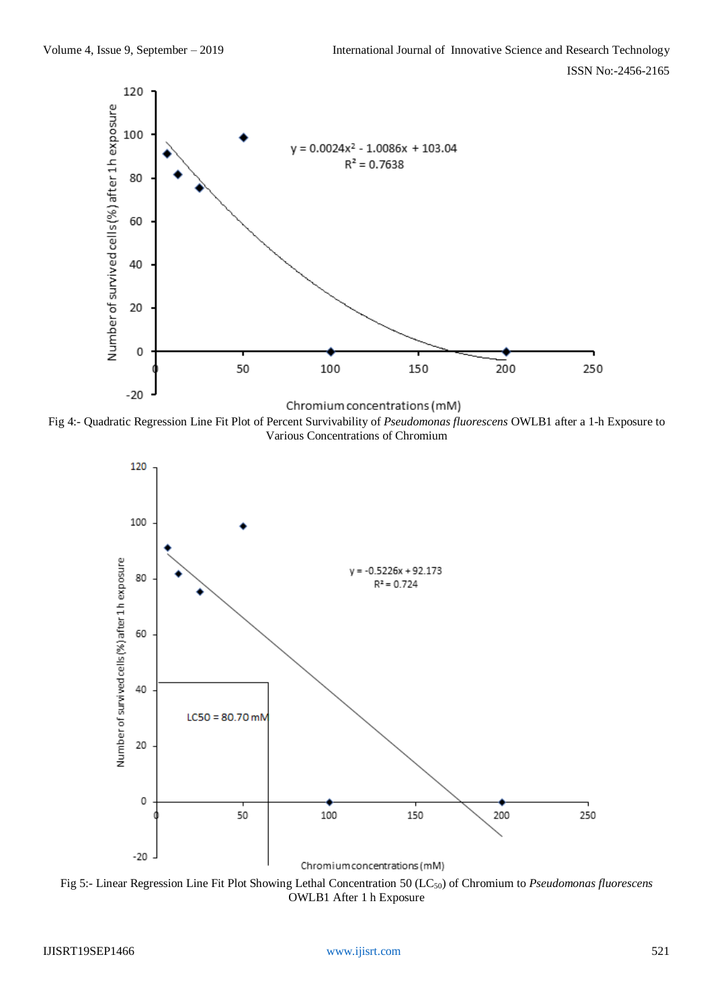

Fig 4:- Quadratic Regression Line Fit Plot of Percent Survivability of *Pseudomonas fluorescens* OWLB1 after a 1-h Exposure to Various Concentrations of Chromium



Fig 5:- Linear Regression Line Fit Plot Showing Lethal Concentration 50 (LC50) of Chromium to *Pseudomonas fluorescens* OWLB1 After 1 h Exposure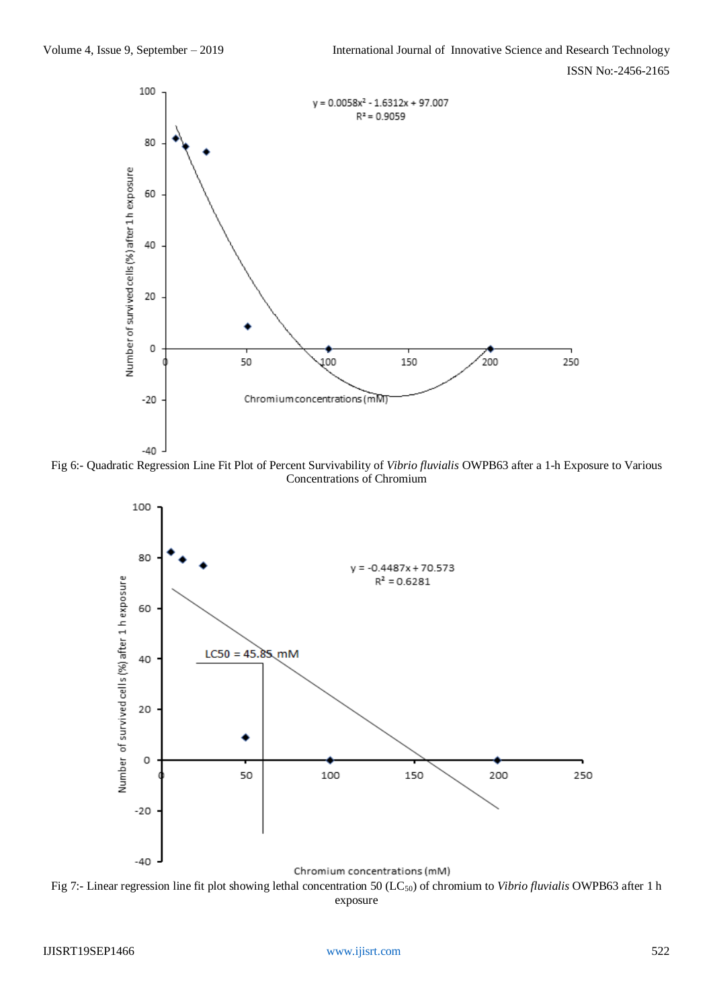

Fig 6:- Quadratic Regression Line Fit Plot of Percent Survivability of *Vibrio fluvialis* OWPB63 after a 1-h Exposure to Various Concentrations of Chromium



Fig 7:- Linear regression line fit plot showing lethal concentration 50 (LC50) of chromium to *Vibrio fluvialis* OWPB63 after 1 h exposure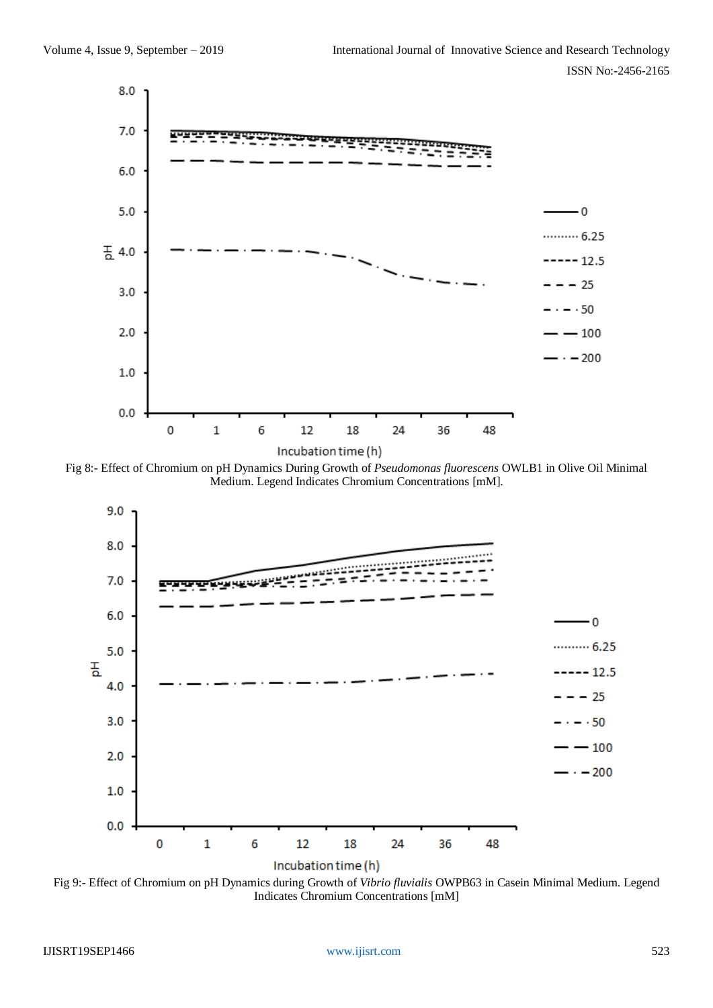

Fig 8:- Effect of Chromium on pH Dynamics During Growth of *Pseudomonas fluorescens* OWLB1 in Olive Oil Minimal Medium. Legend Indicates Chromium Concentrations [mM].



Fig 9:- Effect of Chromium on pH Dynamics during Growth of *Vibrio fluvialis* OWPB63 in Casein Minimal Medium. Legend Indicates Chromium Concentrations [mM]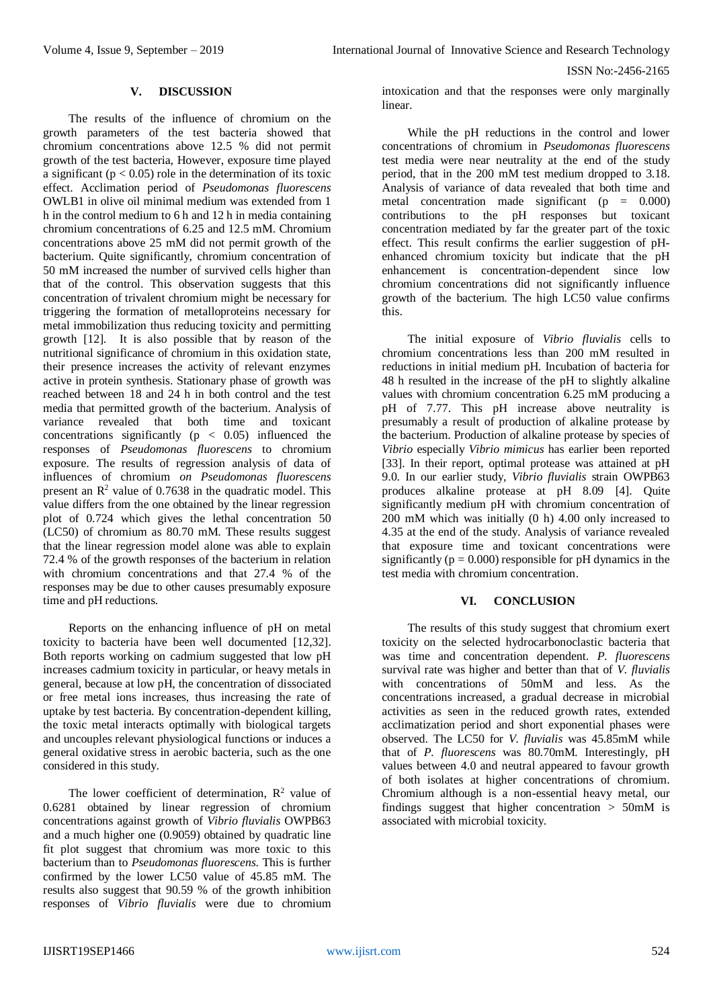#### **V. DISCUSSION**

The results of the influence of chromium on the growth parameters of the test bacteria showed that chromium concentrations above 12.5 % did not permit growth of the test bacteria, However, exposure time played a significant ( $p < 0.05$ ) role in the determination of its toxic effect. Acclimation period of *Pseudomonas fluorescens*  OWLB1 in olive oil minimal medium was extended from 1 h in the control medium to 6 h and 12 h in media containing chromium concentrations of 6.25 and 12.5 mM. Chromium concentrations above 25 mM did not permit growth of the bacterium. Quite significantly, chromium concentration of 50 mM increased the number of survived cells higher than that of the control. This observation suggests that this concentration of trivalent chromium might be necessary for triggering the formation of metalloproteins necessary for metal immobilization thus reducing toxicity and permitting growth [12]. It is also possible that by reason of the nutritional significance of chromium in this oxidation state, their presence increases the activity of relevant enzymes active in protein synthesis. Stationary phase of growth was reached between 18 and 24 h in both control and the test media that permitted growth of the bacterium. Analysis of variance revealed that both time and toxicant concentrations significantly ( $p < 0.05$ ) influenced the responses of *Pseudomonas fluorescens* to chromium exposure. The results of regression analysis of data of influences of chromium *on Pseudomonas fluorescens* present an  $\mathbb{R}^2$  value of 0.7638 in the quadratic model. This value differs from the one obtained by the linear regression plot of 0.724 which gives the lethal concentration 50 (LC50) of chromium as 80.70 mM. These results suggest that the linear regression model alone was able to explain 72.4 % of the growth responses of the bacterium in relation with chromium concentrations and that 27.4 % of the responses may be due to other causes presumably exposure time and pH reductions.

Reports on the enhancing influence of pH on metal toxicity to bacteria have been well documented [12,32]. Both reports working on cadmium suggested that low pH increases cadmium toxicity in particular, or heavy metals in general, because at low pH, the concentration of dissociated or free metal ions increases, thus increasing the rate of uptake by test bacteria. By concentration-dependent killing, the toxic metal interacts optimally with biological targets and uncouples relevant physiological functions or induces a general oxidative stress in aerobic bacteria, such as the one considered in this study.

The lower coefficient of determination,  $R^2$  value of 0.6281 obtained by linear regression of chromium concentrations against growth of *Vibrio fluvialis* OWPB63 and a much higher one (0.9059) obtained by quadratic line fit plot suggest that chromium was more toxic to this bacterium than to *Pseudomonas fluorescens*. This is further confirmed by the lower LC50 value of 45.85 mM. The results also suggest that 90.59 % of the growth inhibition responses of *Vibrio fluvialis* were due to chromium

intoxication and that the responses were only marginally linear.

While the pH reductions in the control and lower concentrations of chromium in *Pseudomonas fluorescens* test media were near neutrality at the end of the study period, that in the 200 mM test medium dropped to 3.18. Analysis of variance of data revealed that both time and metal concentration made significant  $(p = 0.000)$ contributions to the pH responses but toxicant concentration mediated by far the greater part of the toxic effect. This result confirms the earlier suggestion of pHenhanced chromium toxicity but indicate that the pH enhancement is concentration-dependent since low chromium concentrations did not significantly influence growth of the bacterium. The high LC50 value confirms this.

The initial exposure of *Vibrio fluvialis* cells to chromium concentrations less than 200 mM resulted in reductions in initial medium pH. Incubation of bacteria for 48 h resulted in the increase of the pH to slightly alkaline values with chromium concentration 6.25 mM producing a pH of 7.77. This pH increase above neutrality is presumably a result of production of alkaline protease by the bacterium. Production of alkaline protease by species of *Vibrio* especially *Vibrio mimicus* has earlier been reported [33]. In their report, optimal protease was attained at pH 9.0. In our earlier study, *Vibrio fluvialis* strain OWPB63 produces alkaline protease at pH 8.09 [4]. Quite significantly medium pH with chromium concentration of 200 mM which was initially (0 h) 4.00 only increased to 4.35 at the end of the study. Analysis of variance revealed that exposure time and toxicant concentrations were significantly ( $p = 0.000$ ) responsible for pH dynamics in the test media with chromium concentration.

#### **VI. CONCLUSION**

The results of this study suggest that chromium exert toxicity on the selected hydrocarbonoclastic bacteria that was time and concentration dependent. *P. fluorescens*  survival rate was higher and better than that of *V. fluvialis* with concentrations of 50mM and less. As the concentrations increased, a gradual decrease in microbial activities as seen in the reduced growth rates, extended acclimatization period and short exponential phases were observed. The LC50 for *V. fluvialis* was 45.85mM while that of *P. fluorescens* was 80.70mM*.* Interestingly, pH values between 4.0 and neutral appeared to favour growth of both isolates at higher concentrations of chromium. Chromium although is a non-essential heavy metal, our findings suggest that higher concentration  $> 50$ mM is associated with microbial toxicity.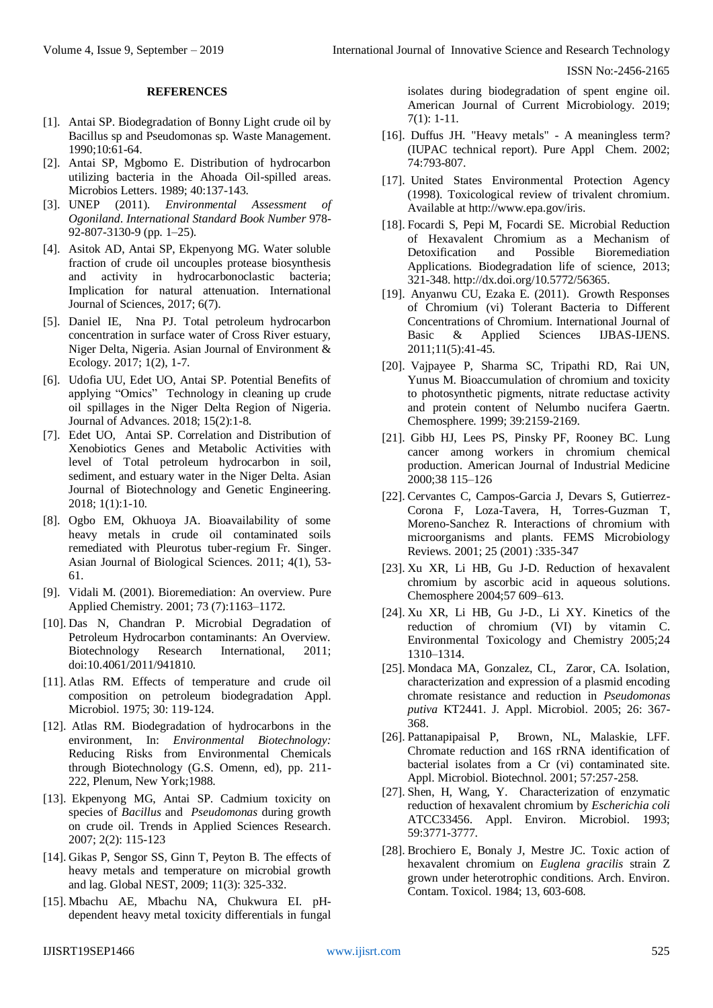#### **REFERENCES**

- [1]. Antai SP. Biodegradation of Bonny Light crude oil by Bacillus sp and Pseudomonas sp. Waste Management. 1990;10:61-64.
- [2]. Antai SP, Mgbomo E. Distribution of hydrocarbon utilizing bacteria in the Ahoada Oil-spilled areas. Microbios Letters. 1989; 40:137-143.
- [3]. UNEP (2011). *Environmental Assessment of Ogoniland*. *International Standard Book Number* 978- 92-807-3130-9 (pp. 1–25).
- [4]. Asitok AD, Antai SP, Ekpenyong MG. Water soluble fraction of crude oil uncouples protease biosynthesis and activity in hydrocarbonoclastic bacteria; Implication for natural attenuation. International Journal of Sciences, 2017; 6(7).
- [5]. Daniel IE, Nna PJ. Total petroleum hydrocarbon concentration in surface water of Cross River estuary, Niger Delta, Nigeria. Asian Journal of Environment & Ecology. 2017; 1(2), 1-7.
- [6]. Udofia UU, Edet UO, Antai SP. Potential Benefits of applying "Omics" Technology in cleaning up crude oil spillages in the Niger Delta Region of Nigeria. Journal of Advances. 2018; 15(2):1-8.
- [7]. Edet UO, Antai SP. Correlation and Distribution of Xenobiotics Genes and Metabolic Activities with level of Total petroleum hydrocarbon in soil, sediment, and estuary water in the Niger Delta. Asian Journal of Biotechnology and Genetic Engineering. 2018; 1(1):1-10.
- [8]. Ogbo EM, Okhuoya JA. Bioavailability of some heavy metals in crude oil contaminated soils remediated with Pleurotus tuber-regium Fr. Singer. Asian Journal of Biological Sciences. 2011; 4(1), 53- 61.
- [9]. Vidali M. (2001). Bioremediation: An overview. Pure Applied Chemistry. 2001; 73 (7):1163–1172.
- [10]. Das N, Chandran P. Microbial Degradation of Petroleum Hydrocarbon contaminants: An Overview. Biotechnology Research International, 2011; doi:10.4061/2011/941810.
- [11]. Atlas RM. Effects of temperature and crude oil composition on petroleum biodegradation Appl. Microbiol. 1975; 30: 119-124.
- [12]. Atlas RM. Biodegradation of hydrocarbons in the environment, In: *Environmental Biotechnology:*  Reducing Risks from Environmental Chemicals through Biotechnology (G.S. Omenn, ed), pp. 211- 222, Plenum, New York;1988.
- [13]. Ekpenyong MG, Antai SP. Cadmium toxicity on species of *Bacillus* and *Pseudomonas* during growth on crude oil. Trends in Applied Sciences Research. 2007; 2(2): 115-123
- [14]. Gikas P, Sengor SS, Ginn T, Peyton B. The effects of heavy metals and temperature on microbial growth and lag. Global NEST, 2009; 11(3): 325-332.
- [15]. Mbachu AE, Mbachu NA, Chukwura EI. pHdependent heavy metal toxicity differentials in fungal

isolates during biodegradation of spent engine oil. American Journal of Current Microbiology. 2019; 7(1): 1-11.

- [16]. Duffus JH. "Heavy metals" A meaningless term? (IUPAC technical report). Pure Appl Chem. 2002; 74:793-807.
- [17]. United States Environmental Protection Agency (1998). Toxicological review of trivalent chromium. Available a[t http://www.epa.gov/iris.](http://www.epa.gov/iris)
- [18]. Focardi S, Pepi M, Focardi SE. Microbial Reduction of Hexavalent Chromium as a Mechanism of Detoxification and Possible Bioremediation Applications. Biodegradation life of science, 2013; 321-348[. http://dx.doi.org/10.5772/56365.](http://dx.doi.org/10.5772/56365)
- [19]. Anyanwu CU, Ezaka E. (2011). Growth Responses of Chromium (vi) Tolerant Bacteria to Different Concentrations of Chromium. International Journal of Basic & Applied Sciences IJBAS-IJENS. 2011;11(5):41-45.
- [20]. Vajpayee P, Sharma SC, Tripathi RD, Rai UN, Yunus M. Bioaccumulation of chromium and toxicity to photosynthetic pigments, nitrate reductase activity and protein content of Nelumbo nucifera Gaertn. Chemosphere. 1999; 39:2159-2169.
- [21]. Gibb HJ, Lees PS, Pinsky PF, Rooney BC. Lung cancer among workers in chromium chemical production. American Journal of Industrial Medicine 2000;38 115–126
- [22]. Cervantes C, Campos-Garcia J, Devars S, Gutierrez-Corona F, Loza-Tavera, H, Torres-Guzman T, Moreno-Sanchez R. Interactions of chromium with microorganisms and plants. FEMS Microbiology Reviews. 2001; 25 (2001) :335-347
- [23]. Xu XR, Li HB, Gu J-D. Reduction of hexavalent chromium by ascorbic acid in aqueous solutions. Chemosphere 2004;57 609–613.
- [24]. Xu XR, Li HB, Gu J-D., Li XY. Kinetics of the reduction of chromium (VI) by vitamin C. Environmental Toxicology and Chemistry 2005;24 1310–1314.
- [25]. Mondaca MA, Gonzalez, CL, Zaror, CA. Isolation, characterization and expression of a plasmid encoding chromate resistance and reduction in *Pseudomonas putiva* KT2441. J. Appl. Microbiol. 2005; 26: 367- 368.
- [26]. Pattanapipaisal P, Brown, NL, Malaskie, LFF. Chromate reduction and 16S rRNA identification of bacterial isolates from a Cr (vi) contaminated site*.*  Appl. Microbiol. Biotechnol. 2001; 57:257-258.
- [27]. Shen, H, Wang, Y. Characterization of enzymatic reduction of hexavalent chromium by *Escherichia coli*  ATCC33456. Appl. Environ. Microbiol. 1993; 59:3771-3777.
- [28]. Brochiero E, Bonaly J, Mestre JC. Toxic action of hexavalent chromium on *Euglena gracilis* strain Z grown under heterotrophic conditions. Arch. Environ. Contam. Toxicol. 1984; 13, 603-608.